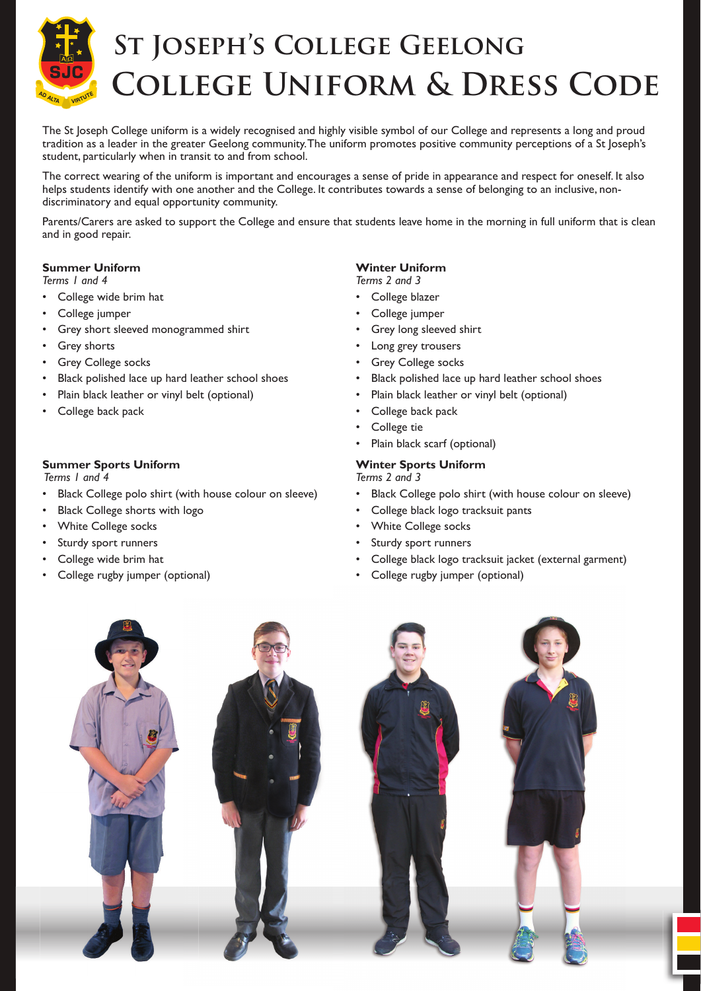

# **St Joseph's College Geelong College Uniform & Dress Code**

The St Joseph College uniform is a widely recognised and highly visible symbol of our College and represents a long and proud tradition as a leader in the greater Geelong community. The uniform promotes positive community perceptions of a St Joseph's student, particularly when in transit to and from school.

The correct wearing of the uniform is important and encourages a sense of pride in appearance and respect for oneself. It also helps students identify with one another and the College. It contributes towards a sense of belonging to an inclusive, nondiscriminatory and equal opportunity community.

Parents/Carers are asked to support the College and ensure that students leave home in the morning in full uniform that is clean and in good repair.

#### **Summer Uniform**

*Terms 1 and 4* 

- College wide brim hat
- College jumper
- Grey short sleeved monogrammed shirt
- **Grey shorts**
- **Grey College socks**
- Black polished lace up hard leather school shoes
- Plain black leather or vinyl belt (optional)
- College back pack

#### **Summer Sports Uniform**

 *Terms 1 and 4* 

- Black College polo shirt (with house colour on sleeve)
- Black College shorts with logo
- White College socks
- Sturdy sport runners
- College wide brim hat
- College rugby jumper (optional)

# **Winter Uniform**

*Terms 2 and 3*

- College blazer
- College jumper
- Grey long sleeved shirt
- Long grey trousers
- Grey College socks
- Black polished lace up hard leather school shoes
- Plain black leather or vinyl belt (optional)
- College back pack
- College tie
- Plain black scarf (optional)

#### **Winter Sports Uniform**

*Terms 2 and 3*

- Black College polo shirt (with house colour on sleeve)
- College black logo tracksuit pants
- White College socks
- Sturdy sport runners
- College black logo tracksuit jacket (external garment)
- College rugby jumper (optional)

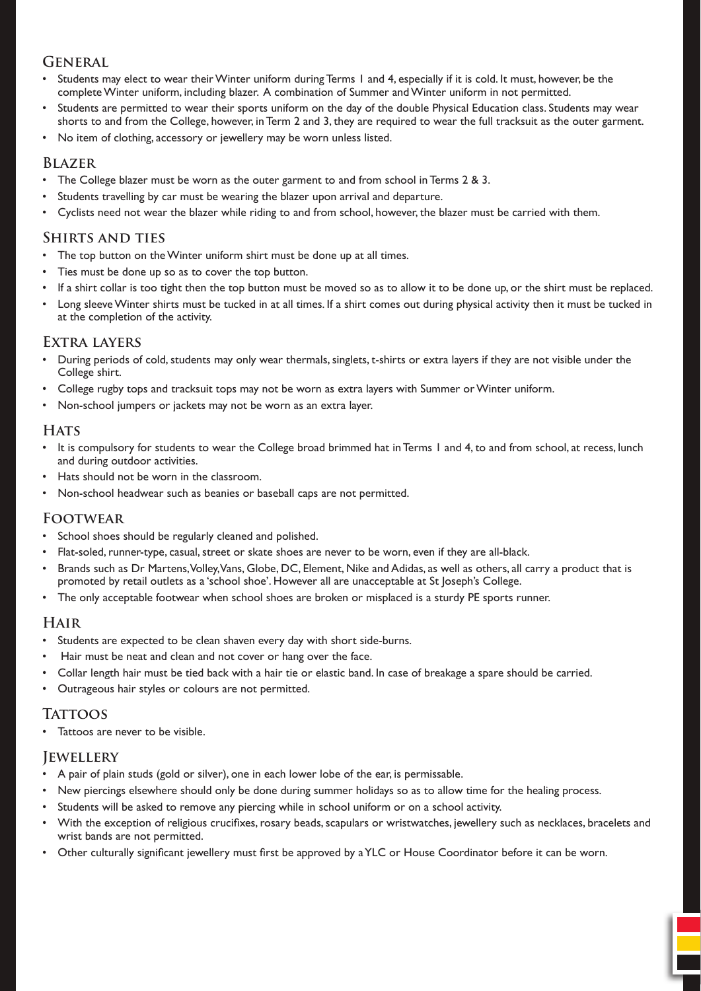# **General**

- Students may elect to wear their Winter uniform during Terms 1 and 4, especially if it is cold. It must, however, be the complete Winter uniform, including blazer. A combination of Summer and Winter uniform in not permitted.
- Students are permitted to wear their sports uniform on the day of the double Physical Education class. Students may wear shorts to and from the College, however, in Term 2 and 3, they are required to wear the full tracksuit as the outer garment.
- No item of clothing, accessory or jewellery may be worn unless listed.

### **Blazer**

- The College blazer must be worn as the outer garment to and from school in Terms 2 & 3.
- Students travelling by car must be wearing the blazer upon arrival and departure.
- Cyclists need not wear the blazer while riding to and from school, however, the blazer must be carried with them.

## **Shirts and ties**

- The top button on the Winter uniform shirt must be done up at all times.
- Ties must be done up so as to cover the top button.
- If a shirt collar is too tight then the top button must be moved so as to allow it to be done up, or the shirt must be replaced.
- Long sleeve Winter shirts must be tucked in at all times. If a shirt comes out during physical activity then it must be tucked in at the completion of the activity.

## **Extra layers**

- During periods of cold, students may only wear thermals, singlets, t-shirts or extra layers if they are not visible under the College shirt.
- College rugby tops and tracksuit tops may not be worn as extra layers with Summer or Winter uniform.
- Non-school jumpers or jackets may not be worn as an extra layer.

## **HATS**

- It is compulsory for students to wear the College broad brimmed hat in Terms 1 and 4, to and from school, at recess, lunch and during outdoor activities.
- Hats should not be worn in the classroom.
- Non-school headwear such as beanies or baseball caps are not permitted.

#### **Footwear**

- School shoes should be regularly cleaned and polished.
- Flat-soled, runner-type, casual, street or skate shoes are never to be worn, even if they are all-black.
- Brands such as Dr Martens, Volley, Vans, Globe, DC, Element, Nike and Adidas, as well as others, all carry a product that is promoted by retail outlets as a 'school shoe'. However all are unacceptable at St Joseph's College.
- The only acceptable footwear when school shoes are broken or misplaced is a sturdy PE sports runner.

#### **Hair**

- Students are expected to be clean shaven every day with short side-burns.
- Hair must be neat and clean and not cover or hang over the face.
- Collar length hair must be tied back with a hair tie or elastic band. In case of breakage a spare should be carried.
- Outrageous hair styles or colours are not permitted.

# **TATTOOS**

Tattoos are never to be visible.

# **Jewellery**

- A pair of plain studs (gold or silver), one in each lower lobe of the ear, is permissable.
- New piercings elsewhere should only be done during summer holidays so as to allow time for the healing process.
- Students will be asked to remove any piercing while in school uniform or on a school activity.
- With the exception of religious crucifixes, rosary beads, scapulars or wristwatches, jewellery such as necklaces, bracelets and wrist bands are not permitted.
- Other culturally significant jewellery must first be approved by a YLC or House Coordinator before it can be worn.